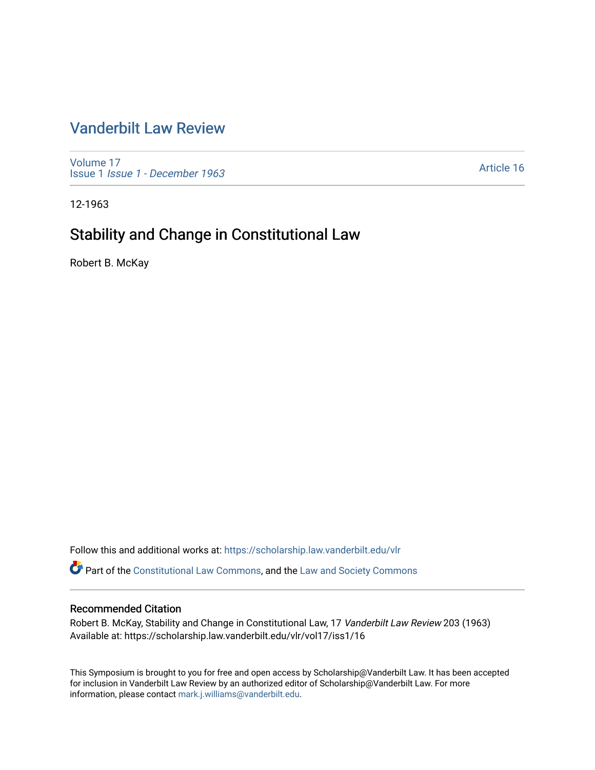# [Vanderbilt Law Review](https://scholarship.law.vanderbilt.edu/vlr)

[Volume 17](https://scholarship.law.vanderbilt.edu/vlr/vol17) Issue 1 [Issue 1 - December 1963](https://scholarship.law.vanderbilt.edu/vlr/vol17/iss1) 

[Article 16](https://scholarship.law.vanderbilt.edu/vlr/vol17/iss1/16) 

12-1963

# Stability and Change in Constitutional Law

Robert B. McKay

Follow this and additional works at: [https://scholarship.law.vanderbilt.edu/vlr](https://scholarship.law.vanderbilt.edu/vlr?utm_source=scholarship.law.vanderbilt.edu%2Fvlr%2Fvol17%2Fiss1%2F16&utm_medium=PDF&utm_campaign=PDFCoverPages)

Part of the [Constitutional Law Commons,](http://network.bepress.com/hgg/discipline/589?utm_source=scholarship.law.vanderbilt.edu%2Fvlr%2Fvol17%2Fiss1%2F16&utm_medium=PDF&utm_campaign=PDFCoverPages) and the [Law and Society Commons](http://network.bepress.com/hgg/discipline/853?utm_source=scholarship.law.vanderbilt.edu%2Fvlr%2Fvol17%2Fiss1%2F16&utm_medium=PDF&utm_campaign=PDFCoverPages) 

### Recommended Citation

Robert B. McKay, Stability and Change in Constitutional Law, 17 Vanderbilt Law Review 203 (1963) Available at: https://scholarship.law.vanderbilt.edu/vlr/vol17/iss1/16

This Symposium is brought to you for free and open access by Scholarship@Vanderbilt Law. It has been accepted for inclusion in Vanderbilt Law Review by an authorized editor of Scholarship@Vanderbilt Law. For more information, please contact [mark.j.williams@vanderbilt.edu](mailto:mark.j.williams@vanderbilt.edu).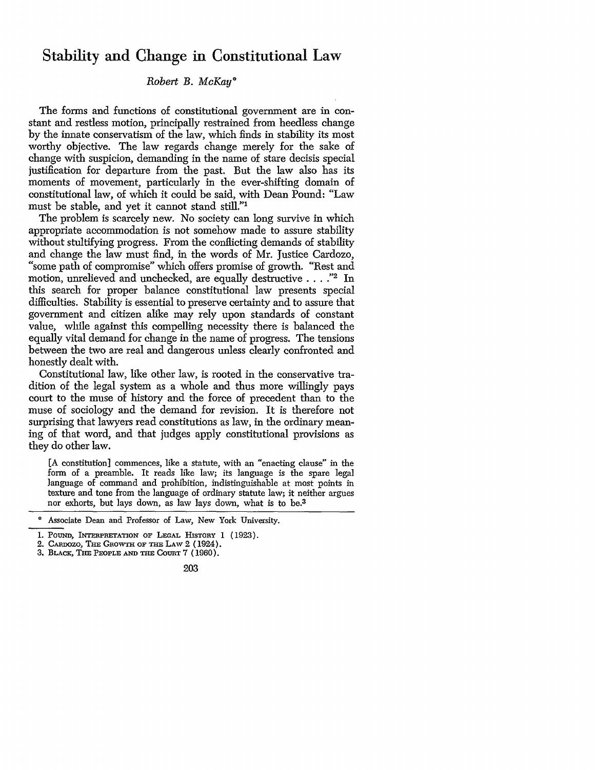## Stability and Change in Constitutional Law

## *Robert B. McKay\**

The forms and functions of constitutional government are in constant and restless motion, principally restrained from heedless change by the innate conservatism of the law, which finds in stability its most worthy objective. The law regards change merely for the sake of change with suspicion, demanding in the name of stare decisis special justification for departure from the past. But the law also has its moments of movement, particularly in the ever-shifting domain of constitutional law, of which it could be said, with Dean Pound: "Law must be stable, and yet it cannot stand still."'

The problem is scarcely new. No society can long survive in which appropriate accommodation is not somehow made to assure stability without stultifying progress. From the conflicting demands of stability and change the law must find, in the words of Mr. Justice Cardozo, and change the law must find, in the words of Mr. Justice Cardozo, "'some path of compromise" which offers promise of growth. "Rest and motion, unrelieved and unchecked, are equally destructive . . . . "2 In this search for proper balance constitutional law presents special difficulties. Stability is essential to preserve certainty and to assure that government and citizen alike may rely upon standards of constant value, while against this compelling necessity there is balanced the equally vital demand for change in the name of progress. The tensions between the two are real and dangerous unless clearly confronted and honestly dealt with.

Constitutional law, like other law, is rooted in the conservative tradition of the legal system as a whole and thus more willingly pays court to the muse of history and the force of precedent than to the muse of sociology and the demand for revision. It is therefore not surprising that lawyers read constitutions as law, in the ordinary meaning of that word, and that judges apply constitutional provisions as they do other law.

[A constitution] commences, like a statute, with an "enacting clause" in the form of a preamble. It reads like law; its language is the spare legal language of command and prohibition, indistinguishable at most points in texture and tone from the language of ordinary statute law; it neither argues nor exhorts, but lays down, as law lays down, what is to be.3

Associate Dean and Professor of Law, New York University.

<sup>1.</sup> POUND, INTERPRETATION OF LEGAL HISTORY 1 (1923).

<sup>2.</sup> CAnDozo, **ThE** GROWTH OF **THE LAw** 2 (1924).

<sup>3.</sup> **BLAcK, THE** PEOPLE **AND THE** COURT **7** (1960).

<sup>203</sup>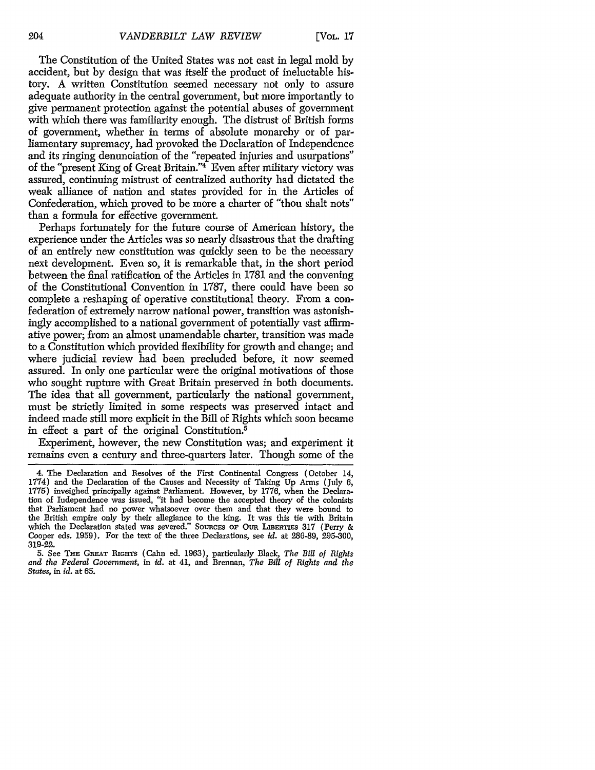The Constitution of the United States was not cast in legal mold by accident, but by design that was itself the product of ineluctable history. A written Constitution seemed necessary not only to assure adequate authority in the central government, but more importantly to give permanent protection against the potential abuses of government with which there was familiarity enough. The distrust of British forms of government, whether in terms of absolute monarchy or of parliamentary supremacy, had provoked the Declaration of Independence and its ringing denunciation of the "repeated injuries and usurpations" of the "present King of Great Britain."4 Even after military victory was assured, continuing mistrust of centralized authority had dictated the weak alliance of nation and states provided for in the Articles of Confederation, which proved to be more a charter of "thou shalt nots" than a formula for effective government.

Perhaps fortunately for the future course of American history, the experience under the Articles was so nearly disastrous that the drafting of an entirely new constitution was quickly seen to be the necessary next development. Even so, it is remarkable that, in the short period between the final ratification of the Articles in 1781 and the convening of the Constitutional Convention in 1787, there could have been so complete a reshaping of operative constitutional theory. From a confederation of extremely narrow national power, transition was astonishingly accomplished to a national government of potentially vast affirmative power; from an almost unamendable charter, transition was made to a Constitution which provided flexibility for growth and change; and where judicial review had been precluded before, it now seemed assured. In only one particular were the original motivations of those who sought rupture with Great Britain preserved in both documents. The idea that all government, particularly the national government, must be strictly limited in some respects was preserved intact and indeed made still more explicit in the Bill of Rights which soon became in effect a part of the original Constitution.5

Experiment, however, the new Constitution was; and experiment it remains even a century and three-quarters later. Though some of the

<sup>4.</sup> The Declaration and Resolves of the First Continental Congress (October 14, 1774) and the Declaration of the Causes and Necessity of Taking **Up** Arms (July 6, 1775) inveighed principally against Parliament. However, by 1776, when the Declaration of Independence was issued, "it had become the accepted theory of the colonists that Parliament had no power whatsoever over them and that they were bound to the British empire only by their allegiance to the king. It was this tie with Britain which the Declaration stated was severed." SOURCES OF OUR LIBERTIES 317 (Perry & Cooper eds. 1959). For the text of the three Declarations, see *id.* at 286-89, 295-300, 319-22.

**<sup>5.</sup>** See **THE GREAT BiGiHTS** (Cahn ed. 1963), particularly Black, *The Bill of Rights and the Federal Government,* in *id.* at 41, and Brennan, *The Bill of Rights and the States, in id.* at 65.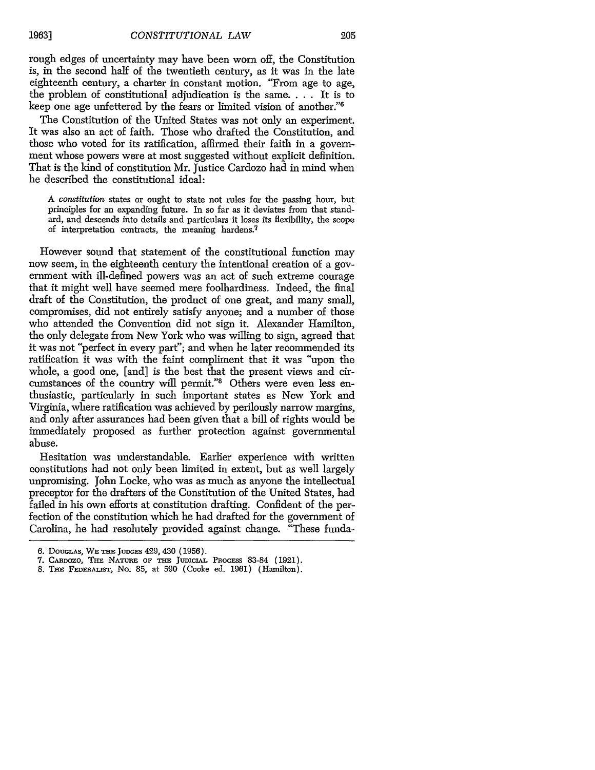rough edges of uncertainty may have been worn off, the Constitution is, in the second half of the twentieth century, as it was in the late eighteenth century, a charter in constant motion. "From age to age, the problem of constitutional adjudication is the same. . **.** . It is to keep one age unfettered by the fears or limited vision of another."<sup>6</sup>

The Constitution of the United States was not only an experiment. It was also an act of faith. Those who drafted the Constitution, and those who voted for its ratification, affirmed their faith in a government whose powers were at most suggested without explicit definition. That is the kind of constitution Mr. Justice Cardozo had in mind when he described the constitutional ideal:

*A constitution* states or ought to state not rules for the passing hour, but principles for an expanding future. In so far as it deviates from that standard, and descends into details and particulars it loses its flexibility, the scope of interpretation contracts, the meaning hardens.<sup>7</sup>

However sound that statement of the constitutional function may now seem, in the eighteenth century the intentional creation of a government with ill-defined powers was an act of such extreme courage that it might well have seemed mere foolhardiness. Indeed, the final draft of the Constitution, the product of one great, and many small, compromises, did not entirely satisfy anyone; and a number of those who attended the Convention did not sign it. Alexander Hamilton, the only delegate from New York who was willing to sign, agreed that it was not "perfect in every part"; and when he later recommended its ratification it was with the faint compliment that it was "upon the whole, a good one, [and] is the best that the present views and circumstances of the country will permit."8 Others were even less enthusiastic, particularly in such important states as New York and Virginia, where ratification was achieved by perilously narrow margins, and only after assurances had been given that a bill of rights would be immediately proposed as further protection against governmental abuse.

Hesitation was understandable. Earlier experience with written constitutions had not only been limited in extent, but as well largely unpromising. John Locke, who was as much as anyone the intellectual preceptor for the drafters of the Constitution of the United States, had failed in his own efforts at constitution drafting. Confident of the perfection of the constitution which he had drafted for the government of Carolina, he had resolutely provided against change. "These funda-

<sup>6.</sup> DouGLAs, WE **=** JuDGEs 429, 430 (1956).

<sup>7.</sup> CARDOZO, THE NATURE OF THE JUDICIAL PROCESS 83-84 (1921).

<sup>8.</sup> Tim **FEDERAIiST,** No. 85, at 590 (Cooke ed. 1961) (Hamilton).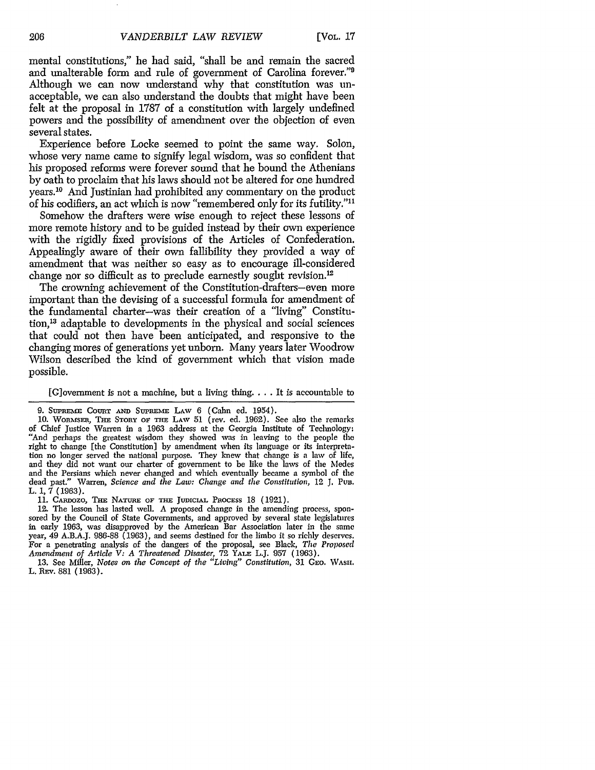mental constitutions," he had said, "shall be and remain the sacred and unalterable form and rule of government of Carolina forever."<sup>9</sup> Although we can now understand why that constitution was unacceptable, we can also understand the doubts that might have been felt at the proposal in 1787 of a constitution with largely undefined powers and the possibility of amendment over the objection of even several states.

Experience before Locke seemed to point the same way. Solon, whose very name came to signify legal wisdom, was so confident that his proposed reforms were forever sound that he bound the Athenians by oath to proclaim that his laws should not be altered for one hundred years.10 And Justinian had prohibited any commentary on the product of his codifiers, an act which is now "remembered only for its futility."<sup>11</sup>

Somehow the drafters were wise enough to reject these lessons of more remote history and to be guided instead by their own experience with the rigidly fixed provisions of the Articles of Confederation. Appealingly aware of their own fallibility they provided a way of amendment that was neither so easy as to encourage ill-considered change nor so difficult as to preclude earnestly sought revision.<sup>12</sup>

The crowning achievement of the Constitution-drafters-even more important than the devising of a successful formula for amendment of the fundamental charter-was their creation of a "living" Constitution,13 adaptable to developments in the physical and social sciences that could not then have been anticipated, and responsive to the changing mores of generations yet unborn. Many years later Woodrow Wilson described the kind of government which that vision made possible.

[G]overnment is not a machine, but a living thing **....** It is accountable to

9. SUPREME COURT AND SUPREME LAW 6 (Cahn ed. 1954).

11. CARDOZO, THE NATURE OF THE JUDICIAL PROCESS 18 (1921).

12. The lesson has lasted well. A proposed change in the amending process, sponsored by the Council of State Governments, and approved by several state legislatures in early 1963, was disapproved by the American Bar Association later in the same year, 49 A.B.A.J. 986-88 (1963), and seems destined for the limbo it so richly deserves. For a penetrating analysis of the dangers of the proposal, see Black, *The Proposed Amendment of Article V: A Threatened Disaster,* 72 YALE L.J. 957 (1963).

13. See Miller, *Notes on the Concept of the "Living" Constitution,* 31 **CFO.** WASH. L. REv. 881 (1963).

<sup>10.</sup> WoRMfsER, THE STORY **oF TmE** LAW 51 (rev. ed. 1962). See also the remarks of Chief Justice Warren in a 1963 address at the Georgia Institute of Technology: "And perhaps the greatest wisdom they showed was in leaving to the people the right to change [the Constitution] by amendment when its language or its interpretation no longer served the national purpose. They knew that change is a law of life, and they did not want our charter of government to be like the laws of the Medes and the Persians which never changed and which eventually became a symbol of the dead past." Warren, Science and the Law: Change and the Constitution, 12 J. Pun. Warren, *Science and the Law: Change and the Constitution*, 12 J. Pun. L. 1,  $\bar{7}$  (1963).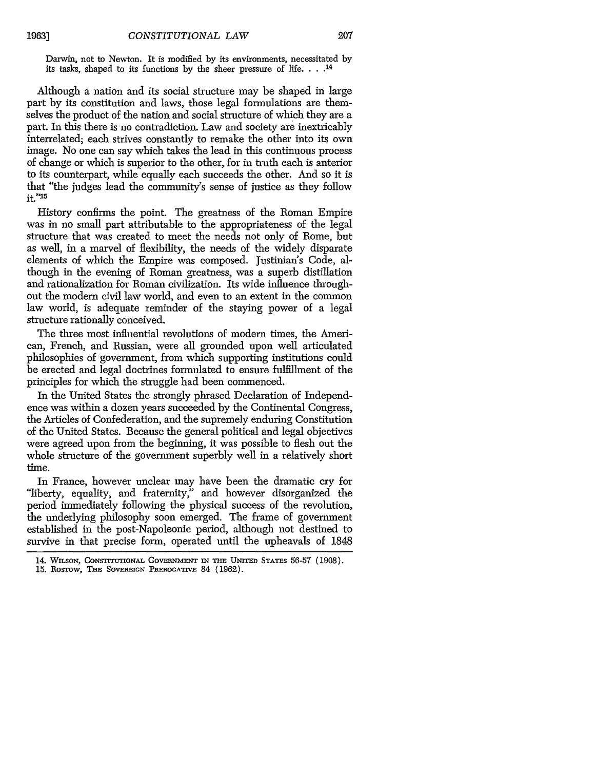Darwin, not to Newton. It is modified by its environments, necessitated by its tasks, shaped to its functions by the sheer pressure of life. **.... 14**

Although a nation and its social structure may be shaped in large part by its constitution and laws, those legal formulations are themselves the product of the nation and social structure of which they are a part. In this there is no contradiction. Law and society are inextricably interrelated; each strives constantly to remake the other into its own image. No one can say which takes the lead in this continuous process of change or which is superior to the other, for in truth each is anterior to its counterpart, while equally each succeeds the other. And so it is that "the judges lead the community's sense of justice as they follow it."15

History confirms the point. The greatness of the Roman Empire was in no small part attributable to the appropriateness of the legal structure that was created to meet the needs not only of Rome, but as well, in a marvel of flexibility, the needs of the widely disparate elements of which the Empire was composed. Justinian's Code, although in the evening of Roman greatness, was a superb distillation and rationalization for Roman civilization. Its wide influence throughout the modem civil law world, and even to an extent in the common law world, is adequate reminder of the staying power of a legal structure rationally conceived.

The three most influential revolutions of modem times, the American, French, and Russian, were all grounded upon well articulated philosophies of government, from which supporting institutions could be erected and legal doctrines formulated to ensure fulfillment of the principles for which the struggle had been commenced.

In the United States the strongly phrased Declaration of Independence was within a dozen years succeeded by the Continental Congress, the Articles of Confederation, and the supremely enduring Constitution of the United States. Because the general political and legal objectives were agreed upon from the beginning, it was possible to flesh out the whole structure of the government superbly well in a relatively short time.

In France, however unclear may have been the dramatic cry for "liberty, equality, and fraternity," and however disorganized the period immediately following the physical success of the revolution, the underlying philosophy soon emerged. The frame of government established in the post-Napoleonic period, although not destined to survive in that precise form, operated until the upheavals of 1848

<sup>14.</sup> WILSON, CONSTITUTIONAL GOVERNMENT IN THE UNITED STATES 56-57 (1908).

<sup>15.</sup> ROSTOW, THE SOVEREIGN PREROGATIVE 84 (1962).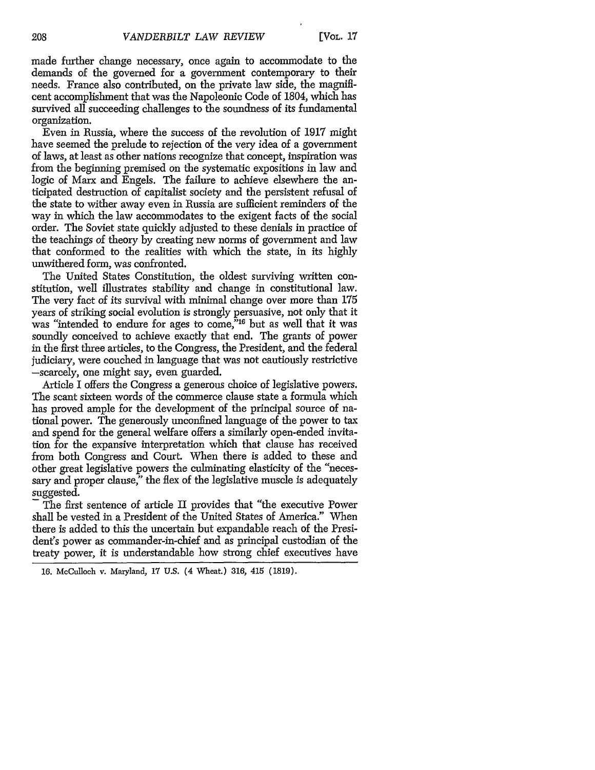made further change necessary, once again to accommodate to the demands of the governed for a government contemporary to their needs. France also contributed, on the private law side, the magnificent accomplishment that was the Napoleonic Code of 1804, which has survived all succeeding challenges to the soundness of its fundamental organization.

Even in Russia, where the success of the revolution of 1917 might have seemed the prelude to rejection of the very idea of a government of laws, at least as other nations recognize that concept, inspiration was from the beginning premised on the systematic expositions in law and logic of Marx and Engels. The failure to achieve elsewhere the anticipated destruction of capitalist society and the persistent refusal of the state to wither away even in Russia are sufficient reminders of the way in which the law accommodates to the exigent facts of the social order. The Soviet state quickly adjusted to these denials in practice of the teachings of theory by creating new norms of government and law that conformed to the realities with which the state, in its highly unwithered form, was confronted.

The United States Constitution, the oldest surviving written constitution, well illustrates stability and change in constitutional law. The very fact of its survival with minimal change over more than 175 years of striking social evolution is strongly persuasive, not only that it was "intended to endure for ages to come,"<sup>16</sup> but as well that it was soundly conceived to achieve exactly that end. The grants of power in the first three articles, to the Congress, the President, and the federal judiciary, were couched in language that was not cautiously restrictive -scarcely, one might say, even guarded.

Article I offers the Congress a generous choice of legislative powers. The scant sixteen words of the commerce clause state a formula which has proved ample for the development of the principal source of national power. The generously unconfined language of the power to tax and spend for the general welfare offers a similarly open-ended invitation for the expansive interpretation which that clause has received from both Congress and Court. When there is added to these and other great legislative powers the culminating elasticity of the "necessary and proper clause," the flex of the legislative muscle is adequately suggested.

The first sentence of article II provides that "the executive Power shall be vested in a President of the United States of America." When there is added to this the uncertain but expandable reach of the President's power as commander-in-chief and as principal custodian of the treaty power, it is understandable how strong chief executives have

<sup>16.</sup> McCulloch v. Maryland, 17 U.S. (4 Wheat.) 316, 415 (1819).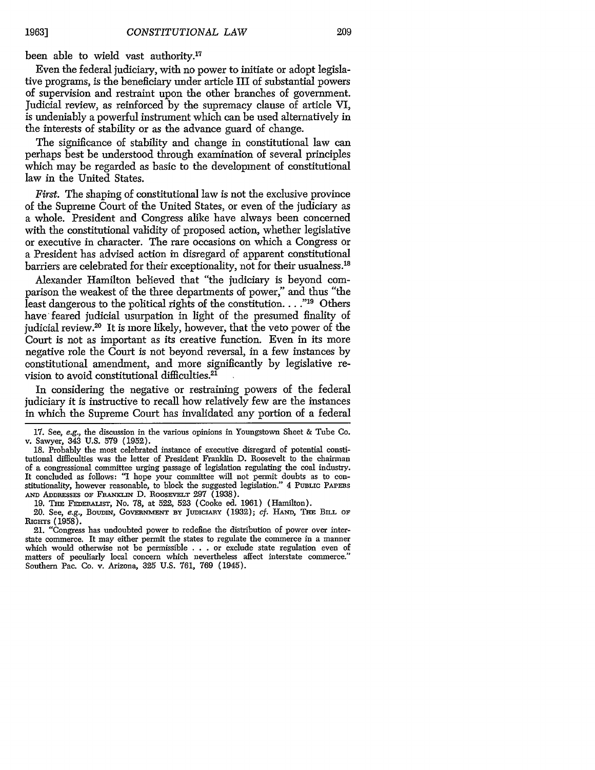been able to wield vast authority.<sup>17</sup>

Even the federal judiciary, with no power to initiate or adopt legislative programs, is the beneficiary under article III of substantial powers of supervision and restraint upon the other branches of government. Judicial review, as reinforced by the supremacy clause of article VI, is undeniably a powerful instrument which can be used alternatively in the interests of stability or as the advance guard of change.

The significance of stability and change in constitutional law can perhaps best be understood through examination of several principles which may be regarded as basic to the development of constitutional law in the United States.

*First.* The shaping of constitutional law is not the exclusive province of the Supreme Court of the United States, or even of the judiciary as a whole. President and Congress alike have always been concerned with the constitutional validity of proposed action, whether legislative or executive in character. The rare occasions on which a Congress or a President has advised action in disregard of apparent constitutional barriers are celebrated for their exceptionality, not for their usualness.<sup>18</sup>

Alexander Hamilton believed that "the judiciary is beyond comparison the weakest of the three departments of power," and thus "the least dangerous to the political rights of the constitution. . . .<sup>"19</sup> Others have feared judicial usurpation in light of the presumed finality of judicial review.<sup>20</sup> It is more likely, however, that the veto power of the Court is not as important as its creative function. Even in its more negative role the Court is not beyond reversal, in a few instances by constitutional amendment, and more significantly by legislative revision to avoid constitutional difficulties.<sup>21</sup>

In considering the negative or restraining powers of the federal judiciary it is instructive to recall how relatively few are the instances in which the Supreme Court has invalidated any portion of a federal

19. THE FEDERALIST, No. 78, at 522, 523 (Cooke ed. 1961) (Hamilton).

<sup>17.</sup> See, *e.g.,* the discussion in the various opinions in Youngstown Sheet & Tube Co. v. Sawyer, 343 U.S. 579 (1952).

<sup>18.</sup> Probably the most celebrated instance of executive disregard of potential constitutional difficulties was the letter of President Franklin D. Roosevelt to the chairman of a congressional committee urging passage of legislation regulating the coal industry. It concluded as follows: "I hope your committee will not permit doubts as to constitutionality, however reasonable, to block the suggested legislation." 4 **PUBLIC PAPERS** AND ADDRESSES OF FRANKLIN D. ROOSEVELT 297 (1938).

<sup>20.</sup> See, *e.g.*, BOUDIN, GOVERNMENT BY JUDICIARY (1932); *cf.* HAND, THE BILL OF **RIGrrrs (1958).**

<sup>21. &</sup>quot;Congress has undoubted power to redefine the distribution of power over interstate commerce. It may either permit the states to regulate the commerce in a manner which would otherwise not be permissible . . . or exclude state regulation even of matters of peculiarly local concern which nevertheless affect interstate commerce." Southern Pac. Co. v. Arizona, 325 U.S. 761, 769 (1945).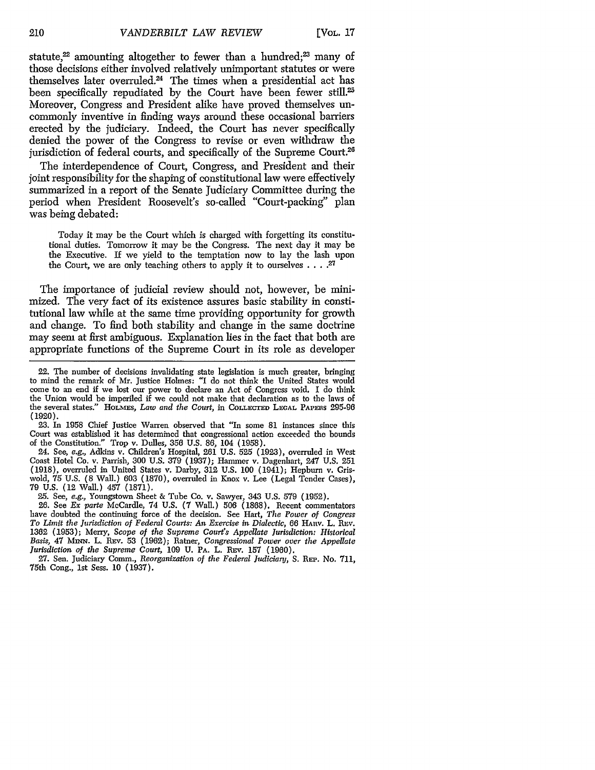statute,<sup>22</sup> amounting altogether to fewer than a hundred;<sup>23</sup> many of those decisions either involved relatively unimportant statutes or were themselves later overruled.24 The times when a presidential act has been specifically repudiated by the Court have been fewer still.<sup>25</sup> Moreover, Congress and President alike have proved themselves uncommonly inventive in finding ways around these occasional barriers erected by the judiciary. Indeed, the Court has never specifically denied the power of the Congress to revise or even withdraw the jurisdiction of federal courts, and specifically of the Supreme Court.<sup>26</sup>

The interdependence of Court, Congress, and President and their joint responsibility for the shaping of constitutional law were effectively summarized in a report of the Senate Judiciary Committee during the period when President Roosevelt's so-called "Court-packing" plan was being debated:

Today it may be the Court which is charged with forgetting its constitutional duties. Tomorrow it may be the Congress. The next day it may be the Executive. If we yield to the temptation now to lay the lash upon the Court, we are only teaching others to apply it to ourselves **.... 27**

The importance of judicial review should not, however, be minimized. The very fact of its existence assures basic stability in constitutional law while at the same time providing opportunity for growth and change. To find both stability and change in the same doctrine may seem at first ambiguous. Explanation lies in the fact that both are appropriate functions of the Supreme Court in its role as developer

23. In 1958 Chief Justice Warren observed that "In some 81 instances since this Court was established it has determined that congressional action exceeded the bounds of the Constitution." Trop v. Dulles, 356 U.S. 86, 104 (1958).

24. See, e.g., Adkins v. Children's Hospital, 261 U.S. 525 (1923), overruled in West Coast Hotel Co. v. Parrish, 300 U.S. 379 (1937); Hammer v. Dagenhart, 247 U.S. 251 (1918), overruled in United States v. Darby, 312 U.S. 100 (1941); Hepburn v. Griswold, 75 U.S. (8 Wall.) 603 (1870), overruled in Knox v. Lee (Legal Tender Cases) 79 U.S. (12 Wall.) 457 (1871).

25. See, e.g., Youngstown Sheet & Tube Co. v. Sawyer, 343 U.S. 579 (1952).

26. See *Ex parte* McCardle, 74 U.S. (7 Wall.) 506 (1868). Recent commentators have doubted the continuing force of the decision. See Hart, *The Power of Congress* To Limit the Jurisdiction of Federal Courts: An Exercise in Dialectic, 66 HARV. L. REV. 1362 (1953); Merry, *Scope of the Supreme Court's Appellate Jurisdiction: Historical Basis,* 47 MINN. L. Rlv. 53 (1962); Ratner, *Congressional Power over the Appellate Jurisdiction of the Supreme Court,* 109 U. PA. L. REV. 157 (1960).

**27.** Sen. Judiciary Comm., *Reorganization of the Federal Judiciary,* S. **REP.** No. 711, 75th Cong., 1st Sess. 10 (1937).

<sup>22.</sup> The number of decisions invalidating state legislation is much greater, bringing to mind the remark of Mr. Justice Holmes: "I do not think the United States would come to an end if we lost our power to declare an Act of Congress void. I do think the Union would be imperiled if we could not make that declaration as to the laws of the several states." HOLMES, *Law and the Court,* in **COLLECTED LEGAL** PAPFRS 295-96 **(1920).**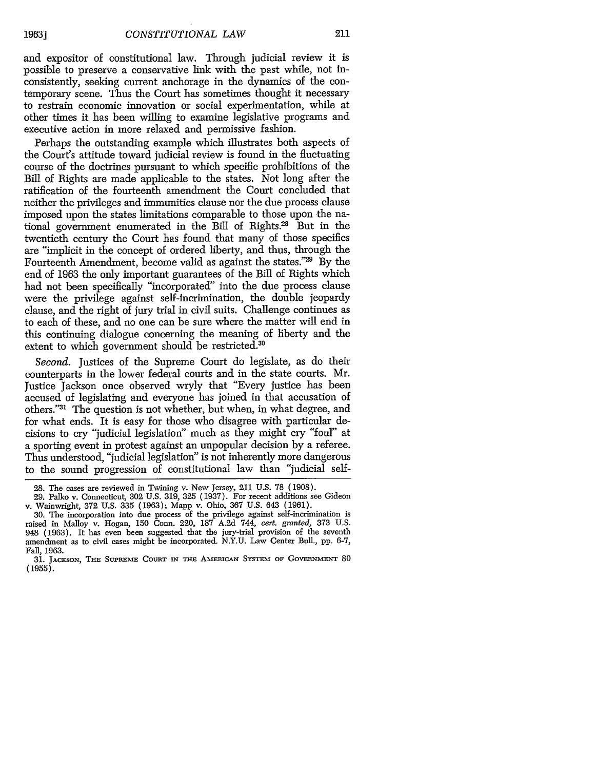and expositor of constitutional law. Through judicial review it is possible to preserve a conservative link with the past while, not inconsistently, seeking current anchorage in the dynamics of the contemporary scene. Thus the Court has sometimes thought it necessary to restrain economic innovation or social experimentation, while at other times it has been willing to examine legislative programs and executive action in more relaxed and permissive fashion.

Perhaps the outstanding example which illustrates both aspects of the Court's attitude toward judicial review is found in the fluctuating course of the doctrines pursuant to which specific prohibitions of the Bill of Rights are made applicable to the states. Not long after the ratification of the fourteenth amendment the Court concluded that neither the privileges and immunities clause nor the due process clause imposed upon the states limitations comparable to those upon the national government enumerated in the Bill of Rights.<sup>28</sup> But in the twentieth century the Court has found that many of those specifics are "implicit in the concept of ordered liberty, and thus, through the Fourteenth Amendment, become valid as against the states."29 By the end of 1963 the only important guarantees of the Bill of Rights which had not been specifically "incorporated" into the due process clause were the privilege against self-incrimination, the double jeopardy clause, and the right of jury trial in civil suits. Challenge continues as to each of these, and no one can be sure where the matter will end in this continuing dialogue concerning the meaning of liberty and the extent to which government should be restricted.<sup>30</sup>

Second. Justices of the Supreme Court do legislate, as do their counterparts in the lower federal courts and in the state courts. Mr. justice Jackson once observed wryly that "Every justice has been accused of legislating and everyone has joined in that accusation of others."31 The question is not whether, but when, in what degree, and for what ends. It is easy for those who disagree with particular decisions to cry "judicial legislation" much as they might cry "foul" at a sporting event in protest against an unpopular decision by a referee. Thus understood, "judicial legislation" is not inherently more dangerous to the sound progression of constitutional law than "judicial self-

<sup>28.</sup> The cases are reviewed in Twining v. New Jersey, 211 U.S. 78 (1908).

<sup>29.</sup> Palko v. Connecticut, 302 U.S. 319, 325 (1937). For recent additions see Gideon v. Wainwright, 372 U.S. 335 (1963); Mapp v. Ohio, 367 U.S. 643 (1961).

<sup>30.</sup> The incorporation into due process of the privilege against self-incrimination is raised in Malloy v. Hogan, 150 Conn. 220, 187 A.2d 744, *cert. granted,* 373 U.S. 948 (1963). It has even been suggested that the jury-trial provision of the seventh amendment as to civil cases might be incorporated. N.Y.U. Law Center Bull., pp. 6-7, Fall, 1963.

<sup>31.</sup> JACKSON, THE SUPREME COURT IN THE AMERICAN SYSTEM OF GOVERNMENT 80 **(1955).**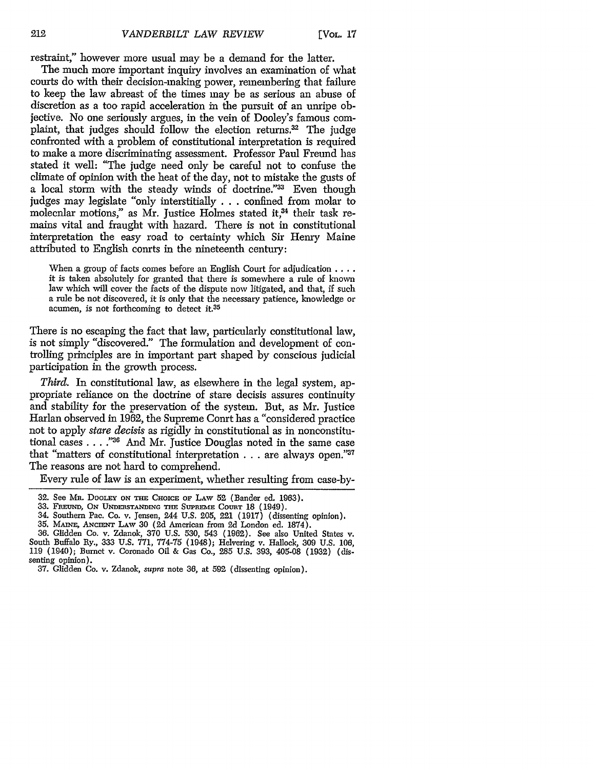restraint," however more usual may be a demand for the latter.

The much more important inquiry involves an examination of what courts do with their decision-making power, remembering that failure to keep the law abreast of the times may be as serious an abuse of discretion as a too rapid acceleration in the pursuit of an unripe objective. No one seriously argues, in the vein of Dooley's famous complaint, that judges should follow the election returns.<sup>32</sup> The judge confronted with a problem of constitutional interpretation is required to make a more discriminating assessment. Professor Paul Freund has stated it well: "The judge need only be careful not to confuse the climate of opinion with the heat of the day, not to mistake the gusts of a local storm with the steady winds of doctrine."33 Even though judges may legislate "only interstitially ...confined from molar to molecular motions," as Mr. Justice Holmes stated it, $34$  their task remains vital and fraught with hazard. There is not in constitutional interpretation the easy road to certainty which Sir Henry Maine attributed to English conrts in the nineteenth century:

When a group of facts comes before an English Court for adjudication **...** it is taken absolutely for granted that there is somewhere a rule of known law which will cover the facts of the dispute now litigated, and that, if such a rule be not discovered, it is only that the necessary patience, knowledge or acumen, is not forthcoming to detect it.35

There is no escaping the fact that law, particularly constitutional law, is not simply "discovered." The formulation and development of controlling principles are in important part shaped by conscious judicial participation in the growth process.

*Third.* In constitutional law, as elsewhere in the legal system, appropriate reliance on the doctrine of stare decisis assures continuity and stability for the preservation of the system. But, as Mr. Justice Harlan observed in 1962, the Supreme Court has a "considered practice not to apply *stare decisis* as rigidly in constitutional as in nonconstitutional cases . . . .<sup>236</sup> And Mr. Justice Douglas noted in the same case that "matters of constitutional interpretation . . . are always open."37 The reasons are not hard to comprehend.

Every rule of law is an experiment, whether resulting from case-by-

- 34. Southern Pac. Co. v. Jensen, 244 U.S. 205, 221 (1917) (dissenting opinion).
- 35. MAINE, **ANCIENT** LAw 30 (2d American from 2d London ed. 1874).
- 36. Glidden Co. v. Zdanok, 370 U.S. 530, 543 (1962). See also United States v. South Buffalo Ry., 333 U.S. 771, 774-75 (1948); Helvering v. Hallock, **309** U.S. 106, 119 (1940); Burnet v. Coronado Oil & Gas Co., 285 U.S. 393, 405-08 (1932) (dissenting opinion).

<sup>32.</sup> See **Mn.** DOOLEY ON THE **CHOICE** OF LAw 52 (Bander ed. 1963).

<sup>33.</sup> FREUND, ON UNDERSTANDING THE SUPREME COURT 18 (1949).

<sup>37.</sup> Glidden Co. v. Zdanok, *supra* note 36, at 592 (dissenting opinion).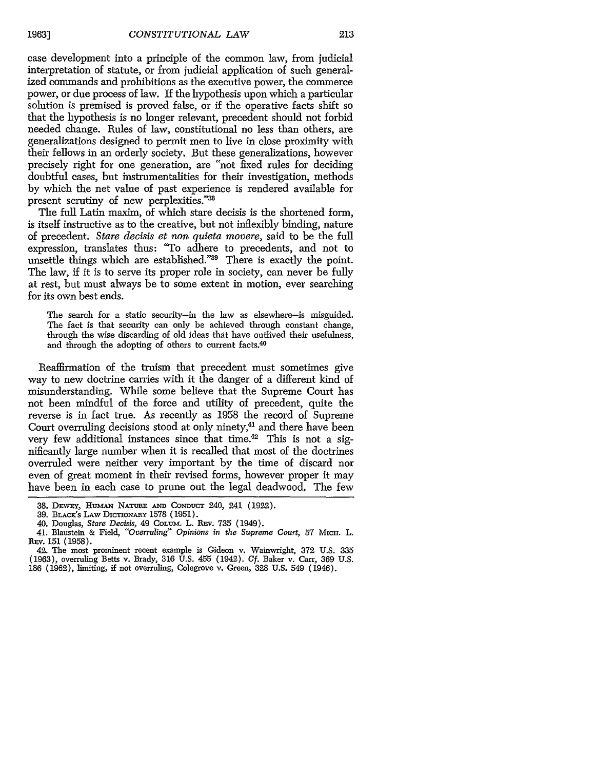213

case development into a principle of the common law, from judicial interpretation of statute, or from judicial application of such generalized commands and prohibitions as the executive power, the commerce power, or due process of law. If the hypothesis upon which a particular solution is premised is proved false, or if the operative facts shift so that the hypothesis is no longer relevant, precedent should not forbid needed change. Rules of law, constitutional no less than others, are generalizations designed to permit men to live in close proximity with their fellows in an orderly society. But these generalizations, however precisely right for one generation, are "not fixed rules for deciding doubtful cases, but instrumentalities for their investigation, methods by which the net value of past experience is rendered available for present scrutiny of new perplexities."38

The full Latin maxim, of which stare decisis is the shortened form, is itself instructive as to the creative, but not inflexibly binding, nature of precedent. *Stare decisis et non quieta movere,* said to be the full expression, translates thus: "To adhere to precedents, and not to unsettle things which are established."<sup>39</sup> There is exactly the point. The law, if it is to serve its proper role in society, can never be fully at rest, but must always be to some extent in motion, ever searching for its own best ends.

The search for a static security-in the law as elsewhere-is misguided. The fact is that security can only be achieved through constant change, through the wise discarding of old ideas that have outlived their usefulness, and through the adopting of others to current facts.<sup>40</sup>

Reaffirmation of the truism that precedent must sometimes give way to new doctrine carries with it the danger of a different kind of misunderstanding. While some believe that the Supreme Court has not been mindful of the force and utility of precedent, quite the reverse is in fact true. As recently as 1958 the record of Supreme Court overruling decisions stood at only ninety,<sup>41</sup> and there have been very few additional instances since that time.42 This is not a significantly large number when it is recalled that most of the doctrines overruled were neither very important by the time of discard nor even of great moment in their revised forms, however proper it may have been in each case to prune out the legal deadwood. The few

<sup>38.</sup> DEWEY, HUMAN NATURE AND CONDUCT 240, 241 (1922).

**<sup>39.</sup>** B.ce's **LAw DICTIONARY** 1578 (1951).

<sup>40.</sup> Douglas, *Stare Decisis,* 49 CoLJm. L. REv. 735 (1949).

<sup>41.</sup> Blaustein & Field, *"Overruling" Opinions in the Supreme Court,* 57 **MICH.** L. REV. 151 (1958).

<sup>42.</sup> The most prominent recent example is Gideon v. Wainwright, 372 U.S. 335 (1963), overruling Betts v. Brady, 316 U.S. 455 (1942). *Cf.* Baker v. Carr, 369 U.S. 186 (1962), limiting, if not overruling, Colegrove v. Green, 328 U.S. 549 (1946).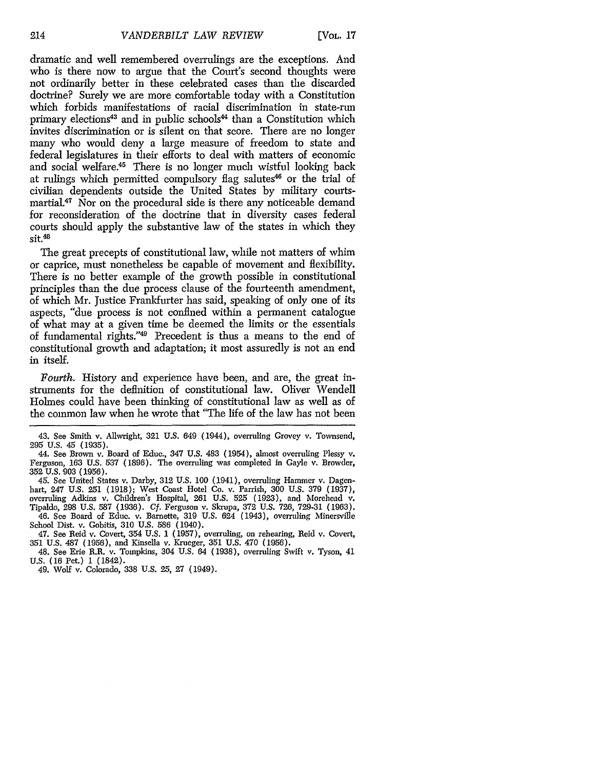dramatic and well remembered overrulings are the exceptions. And who is there now to argue that the Court's second thoughts were not ordinarily better in these celebrated cases than the discarded doctrine? Surely we are more comfortable today with a Constitution which forbids manifestations of racial discrimination in state-run primary elections<sup>43</sup> and in public schools<sup>44</sup> than a Constitution which invites discrimination or is silent on that score. There are no longer many who would deny a large measure of freedom to state and federal legislatures in their efforts to deal with matters of economic and social welfare.<sup>45</sup> There is no longer much wistful looking back at rulings which permitted compulsory flag salutes<sup>46</sup> or the trial of civilian dependents outside the United States by military courtsmartial.<sup>47</sup> Nor on the procedural side is there any noticeable demand for reconsideration of the doctrine that in diversity cases federal courts should apply the substantive law of the states in which they  $s$ it. $48$ 

The great precepts of constitutional law, while not matters of whim or caprice, must nonetheless be capable of movement and flexibility. There is no better example of the growth possible in constitutional principles than the due process clause of the fourteenth amendment, of which Mr. Justice Frankfurter has said, speaking of only one of its aspects, "due process is not confined within a permanent catalogue of what may at a given time be deemed the limits or the essentials of fundamental rights."49 Precedent is thus a means to the end of constitutional growth and adaptation; it most assuredly is not an end in itself.

*Fourth.* History and experience have been, and are, the great instruments for the definition of constitutional law. Oliver Wendell Holmes could have been thinking of constitutional law as well as of the common law when he wrote that "The life of the law has not been

46. See Board of Educ. v. Barnette, 319 U.S. 624 (1943), overruling Minersville School Dist. v. Gobitis, 310 U.S. 586 (1940).

47. See Reid v. Covert, 354 U.S. **1** (1957), overruling, on rehearing, Reid v. Covert, 351 U.S. 487 (1956), and Kinsella v. Krueger, 351 U.S. 470 (1956).

48. See Erie R.R. v. Tompkins, 304 U.S. 64 (1938), overruling Swift v. Tyson, 41 **U.S. (16** Pet.) **1** (1842).

49. Wolf v. Colorado, 338 U.S. 25, 27 (1949).

<sup>43.</sup> See Smith v. Allwright, 321 U.S. 649 (1044), overruling Grovey v. Townsend, 295 **U.S.** 45 (1935).

<sup>44.</sup> See Brown v. Board of Educ., 347 U.S. 483 (1954), almost overruling Plessy v. Ferguson, 163 U.S. 537 (1896). The overruling was completed in Gayle v. Browder, 352 **U.S.** 903 (1956).

<sup>45.</sup> See United States v. Darby, 312 U.S. 100 (1941), overruling Hammer v. Dagenhart, 247 U.S. 251 (1918); West Coast Hotel Co. v. Parrish, 300 U.S. 379 (1937), overruling Adkins v. Children's Hospital, 261 U.S. 525 (1923), and Morehead v. Tipaldo, 298 U.S. 587 (1936). **Cf.** Ferguson v. Skrupa, 372 U.S. 726, 729-31 (1963).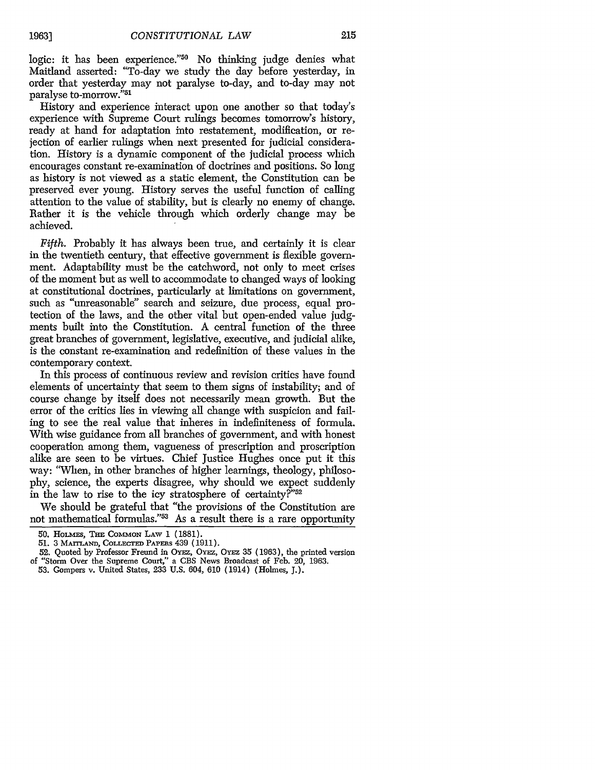logic: it has been experience."<sup>50</sup> No thinking judge denies what Maitland asserted: "To-day we study the day before yesterday, in order that yesterday may not paralyse to-day, and to-day may not

History and experience interact upon one another so that today's experience with Supreme Court rulings becomes tomorrow's history, ready at hand for adaptation into restatement, modification, or rejection of earlier rulings when next presented for judicial consideration. History is a dynamic component of the judicial process which encourages constant re-examination of doctrines and positions. So long as history is not viewed as a static element, the Constitution can be preserved ever young. History serves the useful function of calling attention to the value of stability, but is clearly no enemy of change. Rather it is the vehicle through which orderly change may be achieved.

*Fifth.* Probably it has always been true, and certainly it is clear in the twentieth century, that effective government is flexible government. Adaptability must be the catchword, not only to meet crises of the moment but as well to accommodate to changed ways of looking at constitutional doctrines, particularly at limitations on government, such as "unreasonable" search and seizure, due process, equal protection of the laws, and the other vital but open-ended value judgments built into the Constitution. A central function of the three great branches of government, legislative, executive, and judicial alike, is the constant re-examination and redefinition of these values in the contemporary context.

In this process of continuous review and revision critics have found elements of uncertainty that seem to them signs of instability; and of course change by itself does not necessarily mean growth. But the error of the critics lies in viewing all change with suspicion and failing to see the real value that inheres in indefiniteness of formula. With wise guidance from all branches of government, and with honest cooperation among them, vagueness of prescription and proscription alike are seen to be virtues. Chief Justice Hughes once put it this way: "When, in other branches of higher learnings, theology, philosophy, science, the experts disagree, why should we expect suddenly in the law to rise to the icy stratosphere of certainty?"<sup>52</sup>

We should be grateful that "the provisions of the Constitution are not mathematical formulas."53 As a result there is a rare opportunity

<sup>50.</sup> **HoLmEs,** THE **COMMON** LAw 1 (1881).

<sup>51.</sup> **3** MArTLANo, **COLLECTED** PAPEaS 439 (1911).

<sup>52.</sup> Quoted by Professor Freund in OYEz, OYEz, OYEz 35 (1963), the printed version of "Storm Over the Supreme Court," a CBS News Broadcast of Feb. 20, 1963.

<sup>53.</sup> Gompers v. United States, 233 U.S. 604, 610 (1914) (Holmes, J.).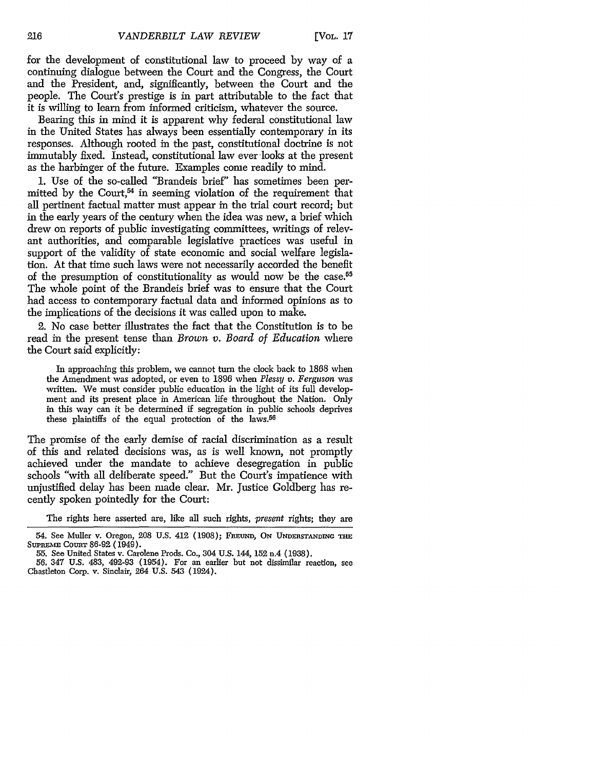for the development of constitutional law to proceed by way of a continuing dialogue between the Court and the Congress, the Court and the President, and, significantly, between the Court and the people. The Court's prestige is in part attributable to the fact that it is willing to learn from informed criticism, whatever the source.

Bearing this in mind it is apparent why federal constitutional law in the United States has always been essentially contemporary in its responses. Although rooted in the past, constitutional doctrine is not immutably fixed. Instead, constitutional law ever looks at the present as the harbinger of the future. Examples come readily to mind.

1. Use of the so-called "Brandeis brief' has sometimes been permitted by the Court,<sup>54</sup> in seeming violation of the requirement that all pertinent factual matter must appear in the trial court record; but in the early years of the century when the idea was new, a brief which drew on reports of public investigating committees, writings of relevant authorities, and comparable legislative practices was useful in support of the validity of state economic and social welfare legislation. At that time such laws were not necessarily accorded the benefit of the presumption of constitutionality as would now be the case.<sup>55</sup> The whole point of the Brandeis brief was to ensure that the Court had access to contemporary factual data and informed opinions as to the implications of the decisions it was called upon to make.

2. No case better illustrates the fact that the Constitution is to be read in the present tense than *Brown v. Board of Education* where the Court said explicitly:

In approaching this problem, we cannot turn the clock back to 1868 when the Amendment was adopted, or even to 1896 when *Plessy v. Ferguson* was written. We must consider public education in the light of its full development and its present place in American life throughout the Nation. Only in this way can it be determined if segregation in public schools deprives these plaintiffs of the equal protection of the laws.56

The promise of the early demise of racial discrimination as a result of this and related decisions was, as is well known, not promptly achieved under the mandate to achieve desegregation in public schools "with all deliberate speed." But the Court's impatience with unjustified delay has been made clear. Mr. Justice Goldberg has recently spoken pointedly for the Court:

The rights here asserted are, like all such rights, *present* rights; they are

<sup>54.</sup> See Muller v. Oregon, 208 U.S. 412 (1908); FREUND, ON *UNDEmSTANDiNc* Tntnu SUPREME COURT 86-92 (1949).

<sup>55.</sup> See United States v. Carolene Prods. Co., 304 U.S. 144, 152 n.4 (1938).

<sup>56. 347</sup> U.S. 483, 492-93 (1954). For an earlier but not dissimilar reaction, see Chastleton Corp. v. Sinclair, 264 U.S. 543 (1924).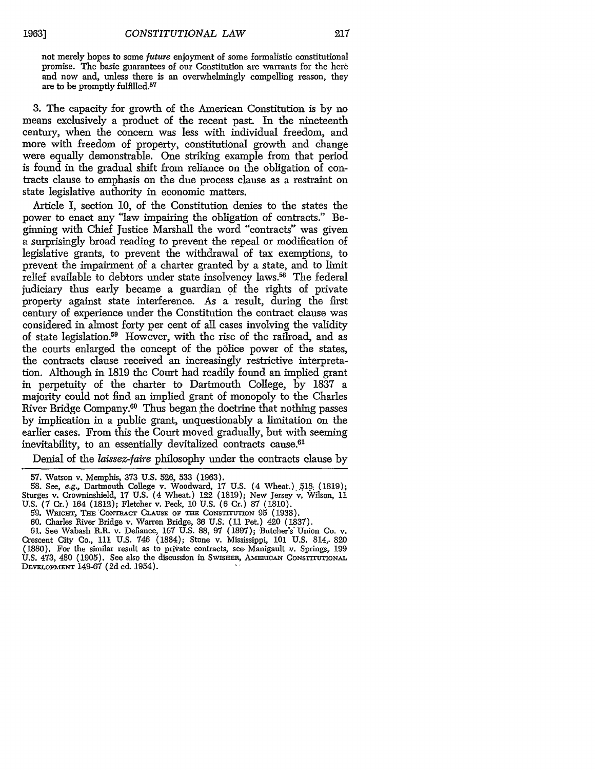not merely hopes to some *future* enjoyment of some formalistic constitutional promise. The basic guarantees of our Constitution are warrants for the here and now and, unless there is an overwhelmingly compelling reason, they are to be promptly fulfilled. $57$ 

3. The capacity for growth of the American Constitution is by no means exclusively a product of the recent past. In the nineteenth century, when the concern was less with individual freedom, and more with freedom of property, constitutional growth and change were equally demonstrable. One striking example from that period is found in the gradual shift from reliance on the obligation of contracts clause to emphasis on the due process clause as a restraint on state legislative authority in economic matters.

Article I, section 10, of the Constitution denies to the states the power to enact any "law impairing the obligation of contracts." Beginning with Chief Justice Marshall the word "contracts" was given a surprisingly broad reading to prevent the repeal or modification of legislative grants, to prevent the withdrawal of tax exemptions, to prevent the impairment of a charter granted by a state, and to limit relief available to debtors under state insolvency laws.<sup>58</sup> The federal judiciary thus early became a guardian of the rights of private property against state interference. As a result, during the first century of experience under the Constitution the contract clause was considered in almost forty per cent of all cases involving the validity of state legislation.59 However, with the rise of the railroad, and as the courts enlarged the concept of the police power of the states, the contracts clause received an increasingly restrictive interpretation. Although in 1819 the Court had readily found an implied grant in perpetuity of the charter to Dartmouth College, by 1837 a majority could not find an implied grant of monopoly to the Charles River Bridge Company.<sup>60</sup> Thus began the doctrine that nothing passes by implication in a public grant, unquestionably a limitation on the earlier cases. From this the Court moved gradually, but with seeming inevitability, to an essentially devitalized contracts cause.<sup>61</sup>

Denial of the *laissez-faire* philosophy under the contracts clause by

61. See Wabash R.R. v. Defiance, 167 U.S. 88, 97 (1897); Butcher's Union Co. v. Crescent City Co., 111 U.S. 746 (1884); Stone v. Mississippi, 101 U.S. 814,. 820 (1880). For the similar result as to private contracts, see Manigault v. Springs, 199 U.S. 473, 480 (1905). See also the discussion in Swisher, AMERICAN CONSTITUTIONAL **DEVELOPMENT** 149-67 (2d ed. 1954).

<sup>57.</sup> Watson v. Memphis, 373 U.S. 526, 533 (1963).

<sup>58.</sup> See, *e.g.,* Dartmouth College v. Woodward, 17 U.S. (4 Wheat.). **5I&** (1819); Sturges v. Crowninshield, 17 U.S. (4 Wheat.) 122 (1819); New Jersey v, Wilson, 11 U.S. (7 Cr.) 164 (1812); Fletcher v. Peck, 10 U.S. (6 Cr.) 87 (1810).

<sup>59.</sup> WIcirr, THs 'CoNTnAcr CLAUSE OF **THE** CONsTIruTIoN 95 (1938).

<sup>60.</sup> Charles River Bridge v. Warren Bridge, 36 U.S. (11 Pet.) 420 (1837).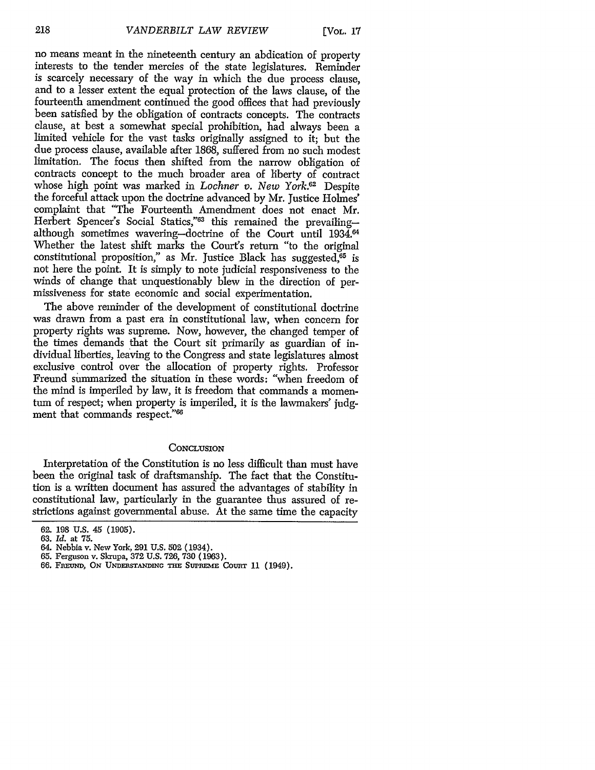no means meant in the nineteenth century an abdication of property interests to the tender mercies of the state legislatures. Reminder is scarcely necessary of the way in which the due process clause, and to a lesser extent the equal protection of the laws clause, of the fourteenth amendment continued the good offices that had previously been satisfied by the obligation of contracts concepts. The contracts clause, at best a somewhat special prohibition, had always been a limited vehicle for the vast tasks originally assigned to it; but the due process clause, available after 1868, suffered from no such modest limitation. The focus then shifted from the narrow obligation of contracts concept to the much broader area of liberty of contract whose high point was marked in *Lochner v. New York.*<sup>62</sup> Despite the forceful attack upon the doctrine advanced by Mr. Justice Holmes' complaint that "The Fourteenth Amendment does not enact Mr. Herbert Spencer's Social Statics,"<sup>63</sup> this remained the prevailingalthough sometimes wavering-doctrine of the Court until 1934.<sup>64</sup> Whether the latest shift marks the Court's return "to the original constitutional proposition," as Mr. Justice Black has suggested,  $65$  is not here the point. It is simply to note judicial responsiveness to the winds of change that unquestionably blew in the direction of permissiveness for state economic and social experimentation.

The above reminder of the development of constitutional doctrine was drawn from a past era in constitutional law, when concern for property rights was supreme. Now, however, the changed temper of the times demands that the Court sit primarily as guardian of individual liberties, leaving to the Congress and state legislatures almost exclusive control over the allocation of property rights. Professor Freund summarized the situation in these words: "when freedom of the mind is imperiled by law, it is freedom that commands a momentum of respect; when property is imperiled, it is the lawmakers' judgment that commands respect."<sup>66</sup>

#### **CONCLUSION**

Interpretation of the Constitution is no less difficult than must have been the original task of draftsmanship. The fact that the Constitution is a written document has assured the advantages of stability in constitutional law, particularly in the guarantee thus assured of restrictions against governmental abuse. At the same time the capacity

<sup>62. 198</sup> **U.S.** 45 (1905).

<sup>63.</sup> *Id.* at 75.

<sup>64.</sup> Nebbia v. New York, 291 U.S. **502** (1934).

<sup>65.</sup> Ferguson v. Skrupa, 372 U.S. 726, 730 (1963).

<sup>66.</sup> FREUND, ON UNDERSTANDING THE SUPREME COURT 11 (1949).